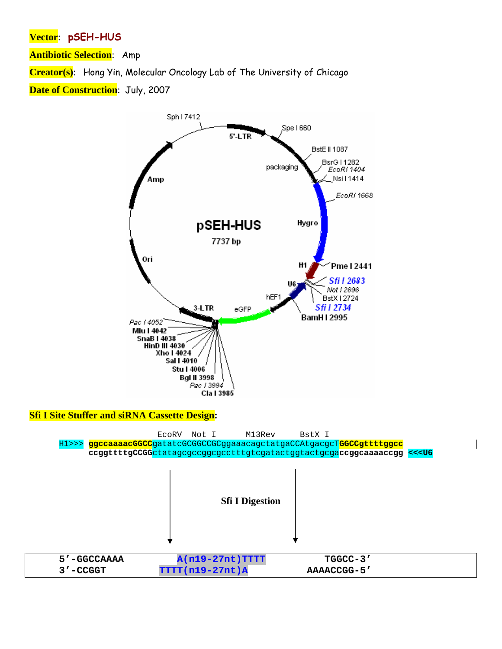## Vector: pSEH-HUS

**Antibiotic Selection:** Amp

Creator(s): Hong Yin, Molecular Oncology Lab of The University of Chicago

Date of Construction: July, 2007

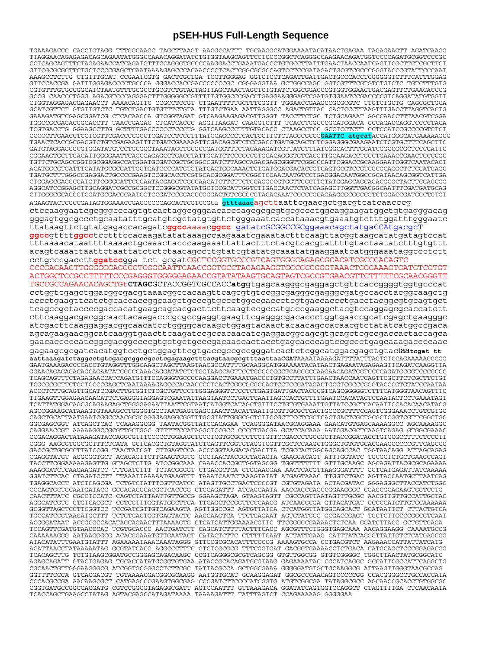## **pSEH-HUS Full-Length Sequence**

TGAAAGACCC CACCTGTAGG TTTGGCAAGC TAGCTTAAGT AACGCCATTT TGCAAGGCATGGAAAATACATAACTGAGAA TAGAGAAGTT AGATCAAGG TTAGGAACAGAGAGACAGCAGAATATGGGCCAAACAGGATATCTGTGGTAAGCAGTTCCTCCCCGGCTCAGGGCCAAGAACAGATGGTCCCCAGATGCGGTCCCGC CCTCAGCAGTTTCTAGAGAACCATCAGATGTTTCCAGGGTGCCCCAAGGACCTGAAATGACCCTGTGCCTTATTTGAACTAACCAATCAGTTCGCTTCTCGCTTCT GTTCGCGCGCTTCTGCTCCCCGAGCTCAATAAAAGAGCCCACAACCCCTCACTCGGCGCGCCAGTCCTCCGATAGACTGCGTCGCCCGGGTACCCGTATTCCCAAT AAAGCCTCTTG CTGTTTGCAT CCGAATCGTG GACTCGCTGA TCCTTGGGAG GGTCTCCTCAGATTGATTGACTGCCCACCTCGGGGGTCTTTCATTTGGAG GTTCCACCGA GATTTGGAGACCCCTGCCCA GGGACCACCGACCCCCCCGC CGGGAGGTAA GCTGGCCAGC GGTCGTTTCGTGTCTGTCTC TGTCTTTGTG CGTGTTTGTGCCGGCATCTAATGTTTGCGCCTGCGTCTGTACTAGTTAGCTAACTAGCTCTGTATCTGGCGGACCCGTGGTGGAACTGACGAGTTCTGAACACCCG GCCG CAACCCTGGG AGACGTCCCAGGGACTTTGGGGGCCGTTTTTGTGGCCCGACCTGAGGAAGGGAGTCGATGTGGAATCCGACCCCGTCAGGATATGTGGTT CTGGTAGGAGACGAGAACCT AAAACAGTTC CCGCCTCCGT CTGAATTTTTGCTTTCGGTT TGGAACCGAAGCCGCGCGTC TTGTCTGCTG CAGCGCTGCA GCATCGTTCT GTGTTGTCTC TGTCTGACTGTGTTTCTGTA TTTGTCTGAA AATTAGGGCC AGACTGTTAC CACTCCCTTAAGTTTGACCTTAGGTCACTG GAAAGATGTCGAGCGGATCG CTCACAACCA GTCGGTAGAT GTCAAGAAGAGACGTTGGGT TACCTTCTGC TCTGCAGAAT GGCCAACCTTTAACGTCGGA TGGCCGCGAGACGGCACCTT TAACCGAGAC CTCATCACCC AGGTTAAGAT CAAGGTCTTT TCACCTGGCCCGCATGGACA CCCAGACCAGGTCCCCTACA TCGTGACCTG GGAAGCCTTG GCTTTTGACCCCCCTCCCTG GGTCAAGCCCTTTGTACACC CTAAGCCTCC GCCTCCTCTT CCTCCATCCGCCCCGTCTCT CCCCCTTGAACCTCCTCGTTCGACCCCGCCTCGATCCTCCCTTTATCCAGCCCTCACTCCTTCTCTAGGCGCCG**GAATTC atgcat**ACCATGGGCATGAAAAAGCC TGAACTCACCGCGACGTCTGTCGAGAAGTTTCTGATCGAAAAGTTCGACAGCGTCTCCGACCTGATGCAGCTCTCGGAGGGCGAAGAATCTCGTGCTTTCAGCTTC GATGTAGGAGGGCGTGGATATGTCCTGCGGGTAAATAGCTGCGCCGATGGTTTCTACAAAGATCGTTATGTTTATCGGCACTTTGCATCGGCCGCGCTCCCGATTC CGGAAGTGCTTGACATTGGGGAATTCAGCGAGAGCCTGACCTATTGCATCTCCCGCCGTGCACAGGGTGTCACGTTGCAAGACCTGCCTGAAACCGAACTGCCCGC TGTTCTGCAGCCGGTCGCGGAGGCCATGGATGCGATCGCTGCGGCCGATCTTAGCCAGACGAGCGGGTTCGGCCCATTCGGACCGCAAGGAATCGGTCAATACACT ACATGGCGTGATTTCATATGCGCGATTGCTGATCCCCATGTGTATCACTGGCAAACTGTGATGGACGACACCGTCAGTGCGTCCGTCGCGCAGGCTCTCGATGAGC TGATGCTTTGGGCCGAGGACTGCCCCGAAGTCCGGCACCTCGTGCACGCGGATTTCGGCTCCAACAATGTCCTGACGGACAATGGCCGCATAACAGCGGTCATTGA CTGGAGCGAGGCGATGTTCGGGGATTCCCAATACGAGGTCGCCAACATCTTCTTCTGGAGGCCGTGGTTGGCTTGTATGGAGCAGCAGACGCGCTACTTCGAGCGG AGGCATCCGGAGCTTGCAGGATCGCCGCGGCTCCGGGCGTATATGCTCCGCATTGGTCTTGACCAACTCTATCAGAGCTTGGTTGACGGCAATTTCGATGATGCAG CTTGGGCGCAGGGTCGATGCGACGCAATCGTCCGATCCGGAGCCGGGACTGTCGGGCGTACACAAATCGCCCGCAGAAGCGCGGCCGTCTGGACCGATGGCTGTGT AGAAGTACTCGCCGATAGTGGAAACCGACGCCCCAGCACTCGTCCGta **gtttaaac**agcttaattcgaacgctgacgtcatcaacccg ctccaaggaatcgcgggcccagtgtcactaggcgggaacacccagcgcgcgtgcgccctggcaggaagatggctgtgagggacag gggagtggcgccctgcaatatttgcatgtcgctatgtgttctgggaaatcaccataaacgtgaaatgtctttggatttgggaatc ttataagttctgtatgagaccacagatc**ggcc**aaaac**ggcc** gatatcGCGGCCGCggaaacagctatgaCCAtgacgcT **ggcc**gtttt**ggcc**tcctttccacaagatatataaagccaagaaatcgaaatactttcaagttacggtaagcatatgatagtccat tttaaaacataattttaaaactgcaaactacccaagaaattattactttctacgtcacgtattttgtactaatatctttgtgttt acagtcaaattaattctaattatctctctaacagccttgtatcgtatatgcaaatatgaaggaatcatgggaaataggccctctt cctgcccgacctt**ggatcc**gga tct gcgatCGCTCCGGTGCCCGTCAGTGGGCAGAGCGCACATCGCCCACAGTC CCCGAGAAGTTGGGGGGAGGGGTCGGCAATTGAACCGGTGCCTAGAGAAGGTGGCGCGGGGTAAACTGGGAAAGTGATGTCGTGT ACTGGCTCCGCCTTTTTCCCGAGGGTGGGGGAGAACCGTATATAAGTGCAGTAGTCGCCGTGAACGTTCTTTTTCGCAACGGGTT TGCCGCCAGAACACAGCTGt**CTAGC**GCTACCGGTCGCCACC**atg**gtgagcaagggcgaggagctgttcaccggggtggtgcccat cctggtcgagctggacggcgacgtaaacggccacaagttcagcgtgtccggcgagggcgagggcgatgccacctacggcaagctg accctgaagttcatctgcaccaccggcaagctgcccgtgccctggcccaccctcgtgaccaccctgacctacggcgtgcagtgct tcagccgctaccccgaccacatgaagcagcacgacttcttcaagtccgccatgcccgaaggctacgtccaggagcgcaccatctt cttcaaggacgacggcaactacaagacccgcgccgaggtgaagttcgagggcgacaccctggtgaaccgcatcgagctgaagggc atcgacttcaaggaggacggcaacatcctggggcacaagctggagtacaactacaacagccacaacgtctatatcatggccgaca agcagaagaacggcatcaaggtgaacttcaagatccgccacaacatcgaggacggcagcgtgcagctcgccgaccactaccagca gaacacccccatcggcgacggccccgtgctgctgcccgacaaccactacctgagcacccagtccgccctgagcaaagaccccaac gagaagcgcgatcacatggtcctgctggagttcgtgaccgccgccgggatcactctcggcatggacgagctgtactaa**tcgat tt aattaaagatctaggcctgtcgacgcggccgcctcgagaagctttacgtaacgcgtttaattaaCGAT**AAAATAAAAGATTTTATTTAGTCTCCAGAAAAAGGGGG GAATGAAAGACCCCACCTGTAGGTTTGGCAAGCTAGCTTAAGTAACGCCATTTTGCAAGGCATGGAAAATACATAACTGAGAATAGAGAAGTTCAGATCAAGGTTA GGAACAGAGAGACAGCAGAATATGGGCCAAACAGGATATCTGTGGTAAGCAGTTCCTGCCCCGGCTCAGGGCCAAGAACAGATGGTCCCCAGATGCGGTCCCGCCC TCAGCAGTTTCTAGAGAACCATCAGATGTTTCCAGGGTGCCCCAAGGACCTGAAATGACCCTGTGCCTTATTTGAACTAACCAATCAGTTCGCTTCTCGCTTCTGT TCGCGCGCTTCTGCTCCCCGAGCTCAATAAAAGAGCCCACAACCCCTCACTCGGCGCGCCAGTCCTCCGATAGACTGCGTCGCCCGGGTACCCGTGTATCCAATAA ACCCTCTTGCAGTTGCATCCGACTTGTGGTCTCGCTGTTCCTTGGGAGGGTCTCCTCTGAGTGATTGACTACCCGTCAGCGGGGGTCTTTCATGGGTAACAGTTTC TTGAAGTTGGAGAACAACATTCTGAGGGTAGGAGTCGAATATTAAGTAATCCTGACTCAATTAGCCACTGTTTTGAATCCACATACTCCAATACTCCTGAAATAGT TCATTATGGACAGCGCAGAAGAGCTGGGGAGAATTAATTCGTAATCATGGTCATAGCTGTTTCCTGTGTGAAATTGTTATCCGCTCACAATTCCACACAACATACG AGCCGGAAGCATAAAGTGTAAAGCCTGGGGTGCCTAATGAGTGAGCTAACTCACATTAATTGCGTTGCGCTCACTGCCCGCTTTCCAGTCGGGAAACCTGTCGTGC CAGCTGCATTAATGAATCGGCCAACGCGCGGGGAGAGGCGGTTTGCGTATTGGGCGCTCTTCCGCTTCCTCGCTCACTGACTCGCTGCGCTCGGTCGTTCGGCTGC GGCGAGCGGT ATCAGCTCAC TCAAAGGCGG TAATACGGTTATCCACAGAA TCAGGGGATAACGCAGGAAA GAACATGTGAGCAAAAGGCC AGCAAAAGGC CAGGAACCGT AAAAAGGCCGCGTTGCTGGC GTTTTTCCATAGGCTCCGCC CCCCTGACGA GCATCACAAA AATCGACGCTCAAGTCAGAG GTGGCGAAAC CCGACAGGACTATAAAGATACCAGGCGTTTCCCCCTGGAAGCTCCCTCGTGCGCTCTCCTGTTCCGACCCTGCCGCTTACCGGATACCTGTCCGCCTTTCTCCCTT CGGG AAGCGTGGCGCTTTCTCATA GCTCACGCTGTAGGTATCTCAGTTCGGTGTAGGTCGTTCGCTCCAAGCTGGGCTGTGTGCACGAACCCCCCGTTCAGCCC GACCGCTGCGCCTTATCCGG TAACTATCGT CTTGAGTCCA ACCCGGTAAGACACGACTTA TCGCCACTGGCAGCAGCCAC TGGTAACAGG ATTAGCAGAG CGAGGTATGT AGGCGGTGCT ACAGAGTTCTTGAAGTGGTG GCCTAACTACGGCTACACTA GAAGGACAGT ATTTGGTATC TGCGCTCTGCTGAAGCCAGT TACCTTCGGAAAAAGAGTTG GTAGCTCTTG ATCCGGCAAA CAAACCACCGCTGGTAGCGG TGGTTTTTTT GTTTGCAAGC AGCAGATTACGCGCAGAAAA<br>AAAGGATCTCAAGAAGATCC TTTGATCTTT TCTACGGGGT CTGACGCTCA GTGGAACGAA AACTCACGTTAAGGGATTTT GGTCATGAGATTATCAAAAA GGATCTTCAC CTAGATCCTT TTAAATTAAAAATGAAGTTT TAAATCAATCTAAAGTATAT ATGAGTAAAC TTGGTCTGAC AGTTACCAATGCTTAATCAG TGAGGCACCT ATCTCAGCGA TCTGTCTATTTCGTTCATCC ATAGTTGCCTGACTCCCCGT CGTGTAGATA ACTACGATAC GGGAGGGCTTACCATCTGGC CCCAGTGCTGCAATGATACC GCGAGACCCACGCTCACCGG CTCCAGATTT ATCAGCAATA AACCAGCCAGCCGGAAGGGC CGAGCGCAGAAGTGGTCCTG CAACTTTATC CGCCTCCATC CAGTCTATTAATTGTTGCCG GGAAGCTAGA GTAAGTAGTT CGCCAGTTAATAGTTTGCGC AACGTTGTTGCCATTGCTAC AGGCATCGTG GTGTCACGCT CGTCGTTTGGTATGGCTTCA TTCAGCTCCGGTTCCCAACG ATCAAGGCGA GTTACATGAT CCCCCATGTTGTGCAAAAAA GCGGTTAGCTCCTTCGGTCC TCCGATCGTTGTCAGAAGTA AGTTGGCCGC AGTGTTATCA CTCATGGTTATGGCAGCACT GCATAATTCT CTTACTGTCA TGCCATCCGTAAGATGCTTT TCTGTGACTGGTGAGTACTC AACCAAGTCA TTCTGAGAAT AGTGTATGCG GCGACCGAGT TGCTCTTGCCCGGCGTCAAT ACGGGATAAT ACCGCGCCACATAGCAGAACTTTAAAAGTG CTCATCATTGGAAAACGTTC TTCGGGGCGAAAACTCTCAA GGATCTTACC GCTGTTGAGA TCCAGTTCGATGTAACCCAC TCGTGCACCC AACTGATCTT CAGCATCTTTTACTTTCACC AGCGTTTCTGGGTGAGCAAA AACAGGAAGG CAAAATGCCG CAAAAAAGGG AATAAGGGCG ACACGGAAATGTTGAATACT CATACTCTTC CTTTTTCAAT ATTATTGAAG CATTTATCAGGGTTATTGTCTCATGAGCGG ATACATATTTGAATGTATTT AGAAAAATAAACAAATAGGG GTTCCGCGCACATTTCCCCG AAAAGTGCCA CCTGACGTCT AAGAAACCATTATTATCATG ACATTAACCTATAAAAATAG GCGTATCACG AGGCCCTTTC GTCTCGCGCG TTTCGGTGAT GACGGTGAAAACCTCTGACA CATGCAGCTCCCGGAGACGG TCACAGCTTG TCTGTAAGCGGATGCCGGGAGCAGACAAGC CCGTCAGGGCGCGTCAGCGG GTGTTGGCGG GTGTCGGGGC TGGCTTAACTATGCGGCATC AGAGCAGATT GTACTGAGAG TGCACCATATGCGGTGTGAA ATACCGCACAGATGCGTAAG GAGAAAATAC CGCATCAGGC GCCATTCGCCATTCAGGCTG CGCAACTGTTGGGAAGGGCG ATCGGTGCGGGCCTCTTCGC TATTACGCCA GCTGGCGAAA GGGGGATGTGCTGCAAGGCG ATTAAGTTGGGTAACGCCAG GGTTTTCCCA GTCACGACGT TGTAAAACGACGGCGCAAGG AATGGTGCAT GCAAGGAGAT GGCGCCCAACAGTCCCCCGG CCACGGGGCCTGCCACCATA CCCACGCCGA AACAAGCGCT CATGAGCCCGAAGTGGCGAG CCCGATCTTCCCCATCGGTG ATGTCGGCGA TATAGGCGCC AGCAACCGCACCTGTGGCGC CGGTGATGCCGGCCACGATG CGTCCGGCGTAGAGGCGATT AGTCCAATTT GTTAAAGACA GGATATCAGTGGTCCAGGCT CTAGTTTTGA CTCAACAATA TCACCAGCTGAAGCCTATAG AGTACGAGCCATAGATAAAA TAAAAGATTT TATTTAGTCT CCAGAAAAAG GGGGGAA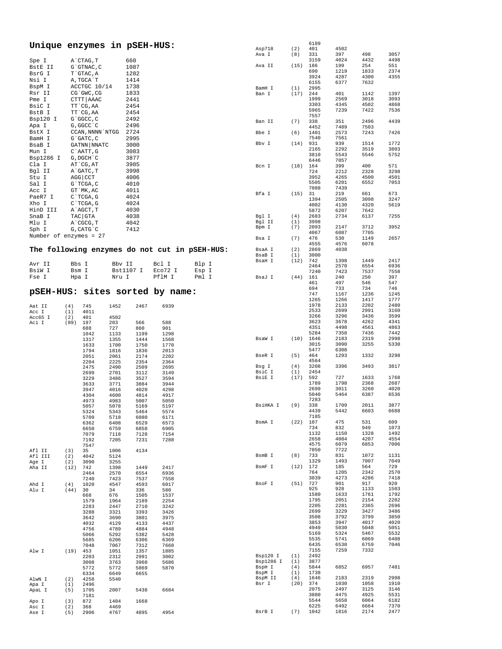| Unique enzymes in pSEH-HUS:     |             |                  |              |              |              |                                               |                     |            | 6189         |              |              |              |
|---------------------------------|-------------|------------------|--------------|--------------|--------------|-----------------------------------------------|---------------------|------------|--------------|--------------|--------------|--------------|
|                                 |             |                  |              |              |              |                                               | Asp718<br>Ava I     | (2)<br>(8) | 401<br>331   | 4502<br>397  | 498          | 3057         |
| Spe I                           |             | A`CTAG, T        |              | 660          |              |                                               |                     |            | 3159         | 4024         | 4432         | 4498         |
| BstE II                         |             | G`GTNAC, C       |              | 1087         |              |                                               | Ava II              | (15)       | 186          | 199          | 254          | 551          |
| BsrG I                          |             | T`GTAC, A        |              | 1282         |              |                                               |                     |            | 690          | 1219         | 1833         | 2374         |
| Nsi I                           |             | A, TGCA`T        |              | 1414         |              |                                               |                     |            | 3924<br>6155 | 4287<br>6377 | 4300<br>7632 | 4355         |
| BspM I                          |             | ACCTGC 10/14     |              | 1738         |              |                                               | BamH I              | (1)        | 2995         |              |              |              |
| Rsr II                          |             | CG GWC, CG       |              | 1833         |              |                                               | Ban I               | (17)       | 244          | 401          | 1142         | 1397         |
| Pme I                           |             | CTTT   AAAC      |              | 2441         |              |                                               |                     |            | 1999         | 2569         | 3018         | 3093         |
| BsiC I                          |             | TT `CG, AA       |              | 2454         |              |                                               |                     |            | 3303         | 4345         | 4502         | 4868         |
| BstB I                          |             | TT CG, AA        |              | 2454         |              |                                               |                     |            | 5965         | 7239         | 7422         | 7536         |
| Bsp120 I                        |             | G`GGCC, C        |              | 2492         |              |                                               | Ban II              | (7)        | 7557<br>338  | 351          | 2496         | 4439         |
| Apa I                           |             | G, GGCC `C       |              | 2496         |              |                                               |                     |            | 4452         | 7489         | 7503         |              |
| BstX I                          |             | CCAN, NNNN `NTGG |              | 2724         |              |                                               | Bbe I               | (6)        | 1401         | 2573         | 7243         | 7426         |
| BamH I                          |             | G`GATC, C        |              | 2995         |              |                                               |                     |            | 7540         | 7561         |              |              |
| BsaB I                          |             | GATNN NNATC      |              | 3000         |              |                                               | Bbv I               | (14)       | 931          | 939          | 1514         | 1772         |
| Mun I                           |             | C`AATT, G        |              | 3083         |              |                                               |                     |            | 2165         | 2292         | 3519         | 3803         |
| Bsp1286 I                       |             | G, DGCH `C       |              | 3877         |              |                                               |                     |            | 3810<br>6446 | 5543<br>7057 | 5546         | 5752         |
| Cla I                           |             | AT CG, AT        |              | 3985         |              |                                               | Bcn I               | (18)       | 164          | 399          | 400          | 571          |
| Bgl II                          |             | A`GATC, T        |              | 3998         |              |                                               |                     |            | 724          | 2212         | 2328         | 3298         |
| Stu I                           |             | AGG CCT          |              | 4006         |              |                                               |                     |            | 3952         | 4265         | 4500         | 4501         |
| Sal I                           |             | G`TCGA, C        |              | 4010         |              |                                               |                     |            | 5505         | 6201         | 6552         | 7053         |
| Acc I                           |             | GT `MK, AC       |              | 4011         |              |                                               |                     | (15)       | 7088         | 7439         |              | 673          |
| PaeR7 I                         |             | C`TCGA, G        |              | 4024         |              |                                               | Bfa I               |            | 31<br>1394   | 219<br>2505  | 661<br>3098  | 3247         |
| Xho I                           |             | C`TCGA, G        |              | 4024         |              |                                               |                     |            | 4002         | 4130         | 4320         | 5619         |
| HinD III                        |             | A`AGCT, T        |              | 4030         |              |                                               |                     |            | 5872         | 6207         | 7642         |              |
| SnaB I                          |             | TAC GTA          |              | 4038         |              |                                               | Bgl I               | (4)        | 2683         | 2734         | 6137         | 7255         |
| Mlu I                           |             | A`CGCG, T        |              | 4042         |              |                                               | Bgl II              | (1)        | 3998         |              |              |              |
| Sph I                           |             | G, CATG`C        |              | 7412         |              |                                               | Bpm I               | (7)        | 2093         | 2147         | 3712         | 3952         |
| Number of enzymes = 27          |             |                  |              |              |              |                                               | Bsa I               | (7)        | 4067<br>476  | 6087<br>530  | 7705<br>1149 | 2657         |
|                                 |             |                  |              |              |              |                                               |                     |            | 4555         | 4576         | 6078         |              |
|                                 |             |                  |              |              |              | The following enzymes do not cut in pSEH-HUS: | BsaA I              | (2)        | 2869         | 4038         |              |              |
|                                 |             |                  |              |              |              |                                               | BsaB I              | (1)        | 3000         |              |              |              |
| Avr II                          | Bbs I       |                  | Bby II       |              | Bcl I        | Blp I                                         | BsaH I              | (12)       | 742          | 1398         | 1449         | 2417         |
| BsiW I                          | Bsm I       |                  |              | Bst1107 I    | Eco72 I      | Esp I                                         |                     |            | 2464         | 2570         | 6554         | 6936         |
| Fse I                           | Hpa I       |                  | Nru I        |              | PflM I       | Pml I                                         | BsaJ I              | (44)       | 7240<br>161  | 7423<br>240  | 7537<br>250  | 7558<br>397  |
|                                 |             |                  |              |              |              |                                               |                     |            | 461          | 497          | 546          | 547          |
|                                 |             |                  |              |              |              |                                               |                     |            | 694          | 733          | 734          | 746          |
| pSEH-HUS: sites sorted by name: |             |                  |              |              |              |                                               |                     |            | 747          | 1167         | 1236         | 1245         |
|                                 |             |                  |              |              |              |                                               |                     |            | 1265         | 1266         | 1417         | 1777         |
| Aat II                          | (4)         | 745              | 1452         | 2467         | 6939         |                                               |                     |            | 1978         | 2133         | 2202<br>2991 | 2480         |
| Acc I                           | (1)         | 4011<br>401      |              |              |              |                                               |                     |            | 2533<br>3266 | 2699<br>3296 | 3436         | 3160<br>3599 |
| Acc65 I<br>Aci I                | (2)<br>(89) | 197              | 4502<br>203  | 566          | 588          |                                               |                     |            | 3623         | 3678         | 4262         | 4341         |
|                                 |             | 688              | 727          | 860          | 901          |                                               |                     |            | 4351         | 4498         | 4561         | 4863         |
|                                 |             | 1042             | 1133         | 1199         | 1298         |                                               |                     |            | 5284         | 7358         | 7436         | 7442         |
|                                 |             | 1317             | 1355         | 1444         | 1568         |                                               | BsaW I              | (10)       | 1646         | 2183         | 2319         | 2998         |
|                                 |             | 1633             | 1700         | 1750         | 1770         |                                               |                     |            | 3015         | 3090         | 3255         | 5330         |
|                                 |             | 1794             | 1816         | 1836         | 2013         |                                               | BseR I              | (5)        | 5477<br>464  | 6308<br>1293 | 1332         | 3298         |
|                                 |             | 2051<br>2204     | 2061<br>2225 | 2174<br>2354 | 2202<br>2364 |                                               |                     |            | 4564         |              |              |              |
|                                 |             | 2475             | 2490         | 2509         | 2695         |                                               | Bsg I               | (4)        | 3208         | 3396         | 3493         | 3817         |
|                                 |             | 2699             | 2701         | 3112         | 3149         |                                               | BsiC I              | (1)        | 2454         |              |              |              |
|                                 |             | 3229             | 3486         | 3527         | 3594         |                                               | BsiE I              | (17)       | 592          | 727          | 1633         | 1768         |
|                                 |             | 3633             | 3771         | 3884         | 3944         |                                               |                     |            | 1789<br>2699 | 1798<br>3011 | 2368<br>3260 | 2687<br>4020 |
|                                 |             | 3947             | 4016         | 4020         | 4298         |                                               |                     |            | 5040         | 5464         | 6387         | 6536         |
|                                 |             | 4304<br>4973     | 4600<br>4983 | 4814<br>5007 | 4917<br>5050 |                                               |                     |            | 7283         |              |              |              |
|                                 |             | 5057             | 5078         | 5169         | 5197         |                                               | BsiHKA I            | (9)        | 338          | 1709         | 2011         | 3877         |
|                                 |             | 5324             | 5343         | 5464         | 5574         |                                               |                     |            | 4439         | 5442         | 6603         | 6688         |
|                                 |             | 5709             | 5718         | 6080         | 6171         |                                               |                     |            | 7185         |              |              | 609          |
|                                 |             | 6362             | 6408<br>6759 | 6529<br>6858 | 6573<br>6905 |                                               | BsmA I              | (22)       | 107<br>734   | 475<br>832   | 531<br>949   | 1073         |
|                                 |             | 6650<br>7079     | 7118         | 7128         | 7154         |                                               |                     |            | 1132         | 1150         | 1328         | 1492         |
|                                 |             | 7192             | 7205         | 7231         | 7288         |                                               |                     |            | 2658         | 4084         | 4207         | 4554         |
|                                 |             | 7547             |              |              |              |                                               |                     |            | 4575         | 6079         | 6853         | 7006         |
| Afl II                          | (3)         | 35               | 1006         | 4134         |              |                                               |                     |            | 7050         | 7722         |              |              |
| Afl III                         | (2)         | 4042             | 5124         |              |              |                                               | BsmB I              | (8)        | 733<br>1329  | 831<br>1493  | 1072<br>7007 | 1131<br>7049 |
| Age I<br>Aha II                 | (2)<br>(12) | 3090<br>742      | 3255<br>1398 | 1449         | 2417         |                                               | BsmF I              | (12)       | 172          | 185          | 564          | 729          |
|                                 |             | 2464             | 2570         | 6554         | 6936         |                                               |                     |            | 764          | 1205         | 2342         | 2570         |
|                                 |             | 7240             | 7423         | 7537         | 7558         |                                               |                     |            | 3039         | 4273         | 4286         | 7418         |
| Ahd I                           | (4)         | 1020             | 4547         | 4593         | 6017         |                                               | BsoF I              | (51)       | 727          | 901          | 917          | 920          |
| Alu I                           | (44)        | 30               | 34           | 336          | 580          |                                               |                     |            | 925<br>1580  | 928<br>1633  | 1133<br>1761 | 1503<br>1792 |
|                                 |             | 668<br>1579      | 676<br>1964  | 1505<br>2189 | 1537<br>2254 |                                               |                     |            | 1795         | 2051         | 2154         | 2202         |
|                                 |             | 2283             | 2447         | 2710         | 3242         |                                               |                     |            | 2205         | 2281         | 2365         | 2696         |
|                                 |             | 3288             | 3321         | 3393         | 3426         |                                               |                     |            | 2699         | 3229         | 3427         | 3486         |
|                                 |             | 3642             | 3690         | 3801         | 3975         |                                               |                     |            | 3508         | 3792         | 3799         | 3850         |
|                                 |             | 4032             | 4129         | 4133         | 4437         |                                               |                     |            | 3853         | 3947         | 4017         | 4020         |
|                                 |             | 4756             | 4789         | 4884         | 4948         |                                               |                     |            | 4949<br>5169 | 5030<br>5324 | 5048<br>5467 | 5051<br>5532 |
|                                 |             | 5066<br>5685     | 5292<br>6206 | 5382<br>6306 | 5428<br>6369 |                                               |                     |            | 5535         | 5741         | 6069         | 6408         |
|                                 |             | 7048             | 7067         | 7312         | 7668         |                                               |                     |            | 6435         | 6530         | 6759         | 7046         |
| Alw I                           | (19)        | 453              | 1051         | 1357         | 1885         |                                               |                     |            | 7155         | 7259         | 7332         |              |
|                                 |             | 2203             | 2312         | 2991         | 3002         |                                               | Bsp120 I            | (1)        | 2492         |              |              |              |
|                                 |             | 3008             | 3763         | 3960         | 5686         |                                               | Bsp1286 I<br>BspH I | (1)<br>(4) | 3877<br>5844 | 6852         | 6957         | 7481         |
|                                 |             | 5772<br>6334     | 5772<br>6649 | 5869<br>6655 | 5870         |                                               | BspM I              | (1)        | 1738         |              |              |              |
| AlwN I                          | (2)         | 4258             | 5540         |              |              |                                               | BspM II             | (4)        | 1646         | 2183         | 2319         | 2998         |
| Apa I                           | (1)         | 2496             |              |              |              |                                               | Bsr I               | (20)       | 374          | 1030         | 1058         | 1910         |
| ApaL I                          | (5)         | 1705             | 2007         | 5438         | 6684         |                                               |                     |            | 2075         | 2497         | 3125         | 3146         |
|                                 |             | 7181             |              |              |              |                                               |                     |            | 3880         | 4475         | 4925         | 5531         |
| Apo I                           | (3)         | 872              | 1404         | 1668         |              |                                               |                     |            | 5544<br>6225 | 5658<br>6492 | 6064<br>6664 | 6182<br>7370 |
| Asc I<br>Ase I                  | (2)<br>(5)  | 368<br>2906      | 4469<br>4767 | 4895         | 4954         |                                               | BsrB I              | (7)        | 1042         | 1816         | 2174         | 2477         |
|                                 |             |                  |              |              |              |                                               |                     |            |              |              |              |              |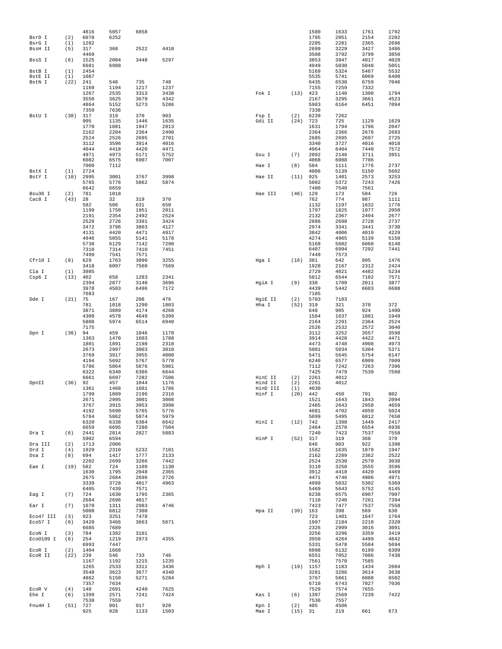|                     |      | 4816         | 5057         | 6858         |              |         |          |      | 1580         | 1633         | 1761         | 1792         |
|---------------------|------|--------------|--------------|--------------|--------------|---------|----------|------|--------------|--------------|--------------|--------------|
| BsrD I              | (2)  | 6078         | 6252         |              |              |         |          |      | 1795         | 2051         | 2154         | 2202         |
| BsrG I              | (1)  | 1282         |              |              |              |         |          |      | 2205         | 2281         | 2365         | 2696         |
| BssH II             | (5)  | 317<br>4469  | 368          | 2522         | 4418         |         |          |      | 2699<br>3508 | 3229<br>3792 | 3427<br>3799 | 3486<br>3850 |
| BssS I              | (6)  | 1525         | 2004         | 3448         | 5297         |         |          |      | 3853         | 3947         | 4017         | 4020         |
|                     |      | 6681         | 6988         |              |              |         |          |      | 4949         | 5030         | 5048         | 5051         |
| BstB I              | (1)  | 2454         |              |              |              |         |          |      | 5169         | 5324         | 5467         | 5532         |
| BstE II             | (1)  | 1087         |              |              |              |         |          |      | 5535         | 5741         | 6069         | 6408         |
| BstN I              | (22) | 241          | 548          | 735          | 748          |         |          |      | 6435         | 6530         | 6759         | 7046         |
|                     |      | 1169<br>1267 | 1194<br>2535 | 1217<br>3313 | 1237<br>3438 | Fok I   |          | (13) | 7155<br>423  | 7259<br>1140 | 7332<br>1300 | 1794         |
|                     |      | 3550         | 3625         | 3679         | 4342         |         |          |      | 2167         | 3295         | 3661         | 4523         |
|                     |      | 4864         | 5152         | 5273         | 5286         |         |          |      | 5983         | 6164         | 6451         | 7094         |
|                     |      | 7359         | 7636         |              |              |         |          |      | 7338         |              |              |              |
| BstU I              | (38) | 317          | 319          | 370          | 903          | Fsp I   |          | (2)  | 6239         | 7262         |              |              |
|                     |      | 905          | 1135         | 1446         | 1635         | Gdi II  |          | (24) | 723          | 725          | 1129         | 1629         |
|                     |      | 1770<br>2162 | 1881<br>2204 | 1947<br>2364 | 2013<br>2490 |         |          |      | 1631<br>2364 | 1794<br>2366 | 1796<br>2676 | 2047<br>2683 |
|                     |      | 2524         | 2526         | 2695         | 2701         |         |          |      | 2685         | 2695         | 2697         | 2725         |
|                     |      | 3112         | 3596         | 3914         | 4016         |         |          |      | 3340         | 3727         | 4016         | 4018         |
|                     |      | 4044         | 4418         | 4420         | 4471         |         |          |      | 4964         | 6404         | 7440         | 7572         |
|                     |      | 4971         | 4973         | 5171         | 5752         | Gsu I   |          | (7)  | 2092         | 2146         | 3711         | 3951         |
|                     |      | 6082<br>7009 | 6575<br>7112 | 6907         | 7007         | Hae I   |          | (8)  | 4068<br>584  | 6088<br>1111 | 7706<br>1776 | 2737         |
| BstX I              | (1)  | 2724         |              |              |              |         |          |      | 4006         | 5139         | 5150         | 5602         |
| BstY I              | (10) | 2995         | 3001         | 3767         | 3998         | Hae II  |          | (11) | 925          | 1401         | 2573         | 3253         |
|                     |      | 5765         | 5776         | 5862         | 5874         |         |          |      | 5002         | 5372         | 7243         | 7426         |
|                     |      | 6642         | 6659         |              |              |         |          |      | 7480         | 7540         | 7561         |              |
| Bsu36 I             | (2)  | 781          | 1018         |              |              | Hae III |          | (46) | 129          | 173          | 584          | 726          |
| Cac8 I              | (43) | 28<br>582    | 32<br>586    | 319<br>631   | 370<br>650   |         |          |      | 762<br>1132  | 774<br>1197  | 987<br>1632  | 1111<br>1776 |
|                     |      | 1199         | 1750         | 1951         | 2011         |         |          |      | 1797         | 1825         | 1977         | 2050         |
|                     |      | 2191         | 2354         | 2492         | 2524         |         |          |      | 2132         | 2367         | 2494         | 2677         |
|                     |      | 2528         | 2726         | 3391         | 3424         |         |          |      | 2686         | 2698         | 2728         | 2737         |
|                     |      | 3472         | 3796         | 3803         | 4127         |         |          |      | 2974         | 3341         | 3441         | 3730         |
|                     |      | 4131         | 4420         | 4471         | 4917         |         |          |      | 3842         | 4006         | 4019         | 4229         |
|                     |      | 4946<br>5738 | 5055<br>6129 | 5141<br>7142 | 5178<br>7290 |         |          |      | 4274<br>5168 | 4965<br>5602 | 5139<br>6060 | 5150<br>6140 |
|                     |      | 7310         | 7314         | 7410         | 7451         |         |          |      | 6407         | 6994         | 7292         | 7441         |
|                     |      | 7499         | 7541         | 7571         |              |         |          |      | 7449         | 7573         |              |              |
| Cfr10 I             | (8)  | 629          | 1763         | 3090         | 3255         | Hga I   |          | (16) | 381          | 642          | 895          | 1476         |
|                     |      | 3418         | 6097         | 7560         | 7569         |         |          |      | 1928         | 2167         | 2312         | 2424         |
| Cla I               | (1)  | 3985         |              |              |              |         |          |      | 2729         | 4021         | 4482         | 5234         |
| Csp6 I              | (13) | 402<br>2394  | 658<br>2877  | 1283<br>3140 | 2341<br>3696 | HgiA I  |          | (9)  | 5812<br>338  | 6544<br>1709 | 7102<br>2011 | 7571<br>3877 |
|                     |      | 3978         | 4503         | 6496         | 7172         |         |          |      | 4439         | 5442         | 6603         | 6688         |
|                     |      | 7683         |              |              |              |         |          |      | 7185         |              |              |              |
| Dde I               | (21) | 75           | 167          | 208          | 476          | HgiE II |          | (2)  | 5703         | 7183         |              |              |
|                     |      | 781          | 1018         | 1290         | 1803         | Hha I   |          | (52) | 319          | 321          | 370          | 372          |
|                     |      | 3871         | 3889         | 4174         | 4268         |         |          |      | 648          | 905          | 924          | 1400         |
|                     |      | 4309<br>5808 | 4578<br>5974 | 4649<br>6514 | 5399<br>6940 |         |          |      | 1584<br>2164 | 1637<br>2291 | 1881<br>2364 | 1949<br>2524 |
|                     |      | 7175         |              |              |              |         |          |      | 2526         | 2532         | 2572         | 3040         |
| Dpn I               | (36) | 94           | 459          | 1046         | 1178         |         |          |      | 3112         | 3252         | 3557         | 3598         |
|                     |      | 1363         | 1470         | 1603         | 1788         |         |          |      | 3914         | 4420         | 4422         | 4471         |
|                     |      | 1801         | 1891         | 2198         | 2318         |         |          |      | 4473         | 4748         | 4908         | 4973         |
|                     |      | 2673         | 2997         | 3003         | 3010         |         |          |      | 5001         | 5034         | 5304         | 5371         |
|                     |      | 3769<br>4194 | 3917<br>5692 | 3955<br>5767 | 4000<br>5778 |         |          |      | 5471<br>6240 | 5645<br>6577 | 5754<br>6909 | 6147<br>7009 |
|                     |      | 5786         | 5864         | 5876         | 5981         |         |          |      | 7112         | 7242         | 7263         | 7396         |
|                     |      | 6322         | 6340         | 6386         | 6644         |         |          |      | 7425         | 7479         | 7539         | 7560         |
|                     |      | 6661         | 6697         | 7282         | 7506         | HinC II |          | (2)  | 2261         | 4012         |              |              |
| DpnII               | (36) | 92           | 457          | 1044         | 1176         | Hind II |          | (2)  | 2261         | 4012         |              |              |
|                     |      | 1361         | 1468         | 1601         | 1786         |         | HinD III | (1)  | 4030         |              | 791          | 802          |
|                     |      | 1799<br>2671 | 1889<br>2995 | 2196<br>3001 | 2316<br>3008 | Hinf I  |          | (20) | 442<br>1521  | 450<br>1643  | 1843         | 2094         |
|                     |      | 3767         | 3915         | 3953         | 3998         |         |          |      | 2485         | 2643         | 2958         | 4659         |
|                     |      | 4192         | 5690         | 5765         | 5776         |         |          |      | 4681         | 4702         | 4959         | 5024         |
|                     |      | 5784         | 5862         | 5874         | 5979         |         |          |      | 5099         | 5495         | 6012         | 7650         |
|                     |      | 6320         | 6338         | 6384         | 6642         | HinI I  |          | (12) | 742          | 1398         | 1449         | 2417         |
| Dra I               | (6)  | 6659<br>2441 | 6695<br>2814 | 7280<br>2827 | 7504<br>5883 |         |          |      | 2464<br>7240 | 2570<br>7423 | 6554<br>7537 | 6936<br>7558 |
|                     |      | 5902         | 6594         |              |              | HinP I  |          | (52) | 317          | 319          | 368          | 370          |
| Dra III             | (2)  | 1713         | 2006         |              |              |         |          |      | 646          | 903          | 922          | 1398         |
| Drd I               | (4)  | 1929         | 2310         | 5232         | 7101         |         |          |      | 1582         | 1635         | 1879         | 1947         |
| Dsa I               | (8)  | 694          | 1417<br>2699 | 1777         | 2133<br>7442 |         |          |      | 2162         | 2289         | 2362         | 2522<br>3038 |
|                     | (19) | 2202<br>582  | 724          | 3266<br>1109 | 1130         |         |          |      | 2524         | 2530<br>3250 | 2570<br>3555 | 3596         |
| Eae I               |      | 1630         | 1795         | 2048         | 2365         |         |          |      | 3110<br>3912 | 4418         | 4420         | 4469         |
|                     |      | 2675         | 2684         | 2696         | 2726         |         |          |      | 4471         | 4746         | 4906         | 4971         |
|                     |      | 3339         | 3728         | 4017         | 4963         |         |          |      | 4999         | 5032         | 5302         | 5369         |
|                     |      | 6405         | 7439         | 7571         |              |         |          |      | 5469         | 5643         | 5752         | 6145         |
| Eag I               | (7)  | 724          | 1630         | 1795         | 2365         |         |          |      | 6238         | 6575         | 6907         | 7007         |
| Ear I               | (7)  | 2684<br>1070 | 2696<br>1311 | 4017<br>2983 | 4746         |         |          |      | 7110<br>7423 | 7240<br>7477 | 7261<br>7537 | 7394<br>7558 |
|                     |      | 5008         | 6812         | 7300         |              | Hpa II  |          | (39) | 163          | 398          | 569          | 630          |
| Eco47 III           | (3)  | 923          | 3251         | 7478         |              |         |          |      | 723          | 1401         | 1647         | 1764         |
| Eco57 I             | (6)  | 3420         | 3466         | 3663         | 5671         |         |          |      | 1997         | 2184         | 2210         | 2320         |
|                     |      | 6685         | 7689         |              |              |         |          |      | 2326         | 2999         | 3016         | 3091         |
| ECON I<br>Eco0109 I | (3)  | 784          | 1392<br>1219 | 3101<br>2973 | 4355         |         |          |      | 3256         | 3296         | 3359<br>4499 | 3419<br>4842 |
|                     | (6)  | 254<br>6993  | 7447         |              |              |         |          |      | 3950<br>5331 | 4264<br>5478 | 5504         | 5694         |
| ECOR I              | (2)  | 1404         | 1668         |              |              |         |          |      | 6098         | 6132         | 6199         | 6309         |
| ECOR II             | (22) | 239          | 546          | 733          | 746          |         |          |      | 6551         | 7052         | 7086         | 7438         |
|                     |      | 1167         | 1192         | 1215         | 1235         |         |          |      | 7561         | 7570         | 7585         |              |
|                     |      | 1265         | 2533         | 3311         | 3436         | Hph I   |          | (19) | 1157         | 1183         | 1434         | 2604         |
|                     |      | 3548<br>4862 | 3623<br>5150 | 3677<br>5271 | 4340<br>5284 |         |          |      | 3281<br>3767 | 3286<br>5861 | 3614<br>6088 | 3638<br>6502 |
|                     |      | 7357         | 7634         |              |              |         |          |      | 6710         | 6743         | 7027         | 7036         |
| EcoR V              | (4)  | 140          | 2691         | 4240         | 7625         |         |          |      | 7529         | 7574         | 7655         |              |
| Ehe I               | (6)  | 1399         | 2571         | 7241         | 7424         | Kas I   |          | (6)  | 1397         | 2569         | 7239         | 7422         |
|                     |      | 7538         | 7559         |              |              |         |          |      | 7536         | 7557         |              |              |
| Fnu4H I             | (51) | 727          | 901          | 917          | 920          | Kpn I   |          | (2)  | 405          | 4506         |              |              |
|                     |      | 925          | 928          | 1133         | 1503         | Mae I   |          | (15) | 31           | 219          | 661          | 673          |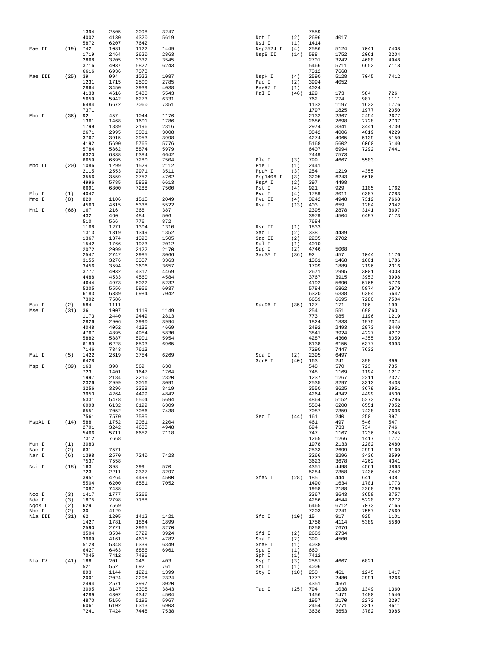|                |            | 1394         | 2505         | 3098         | 3247         |                    |            | 7559         |              |              |              |
|----------------|------------|--------------|--------------|--------------|--------------|--------------------|------------|--------------|--------------|--------------|--------------|
|                |            | 4002         | 4130         | 4320         | 5619         | Not I              | (2)        | 2696         | 4017         |              |              |
| Mae II         | (19)       | 5872<br>742  | 6207<br>1081 | 7642<br>1122 | 1449         | Nsi I<br>Nsp7524 I | (1)<br>(4) | 1414<br>2586 | 5124         | 7041         | 7408         |
|                |            | 1719         | 2464         | 2620         | 2863         | NspB II            | (14)       | 588          | 1752         | 2061         | 2204         |
|                |            | 2868         | 3205         | 3332         | 3545         |                    |            | 2701         | 3242         | 4600         | 4948         |
|                |            | 3716         | 4037         | 5827         | 6243         |                    |            | 5466         | 5711         | 6652         | 7118         |
|                |            | 6616         | 6936         | 7378         |              |                    |            | 7312         | 7668         |              |              |
| Mae III        | (25)       | 39           | 994<br>1715  | 1022<br>2500 | 1087         | NspH I             | (4)        | 2590<br>3994 | 5128         | 7045         | 7412         |
|                |            | 1231<br>2864 | 3450         | 3939         | 2785<br>4038 | Pac I<br>PaeR7 I   | (2)<br>(1) | 4024         | 4052         |              |              |
|                |            | 4138         | 4616         | 5480         | 5543         | Pal I              | (46)       | 129          | 173          | 584          | 726          |
|                |            | 5659         | 5942         | 6273         | 6331         |                    |            | 762          | 774          | 987          | 1111         |
|                |            | 6484         | 6672         | 7060         | 7351         |                    |            | 1132         | 1197         | 1632         | 1776         |
|                |            | 7371         |              |              |              |                    |            | 1797         | 1825         | 1977         | 2050         |
| Mbo I          | (36)       | 92<br>1361   | 457<br>1468  | 1044<br>1601 | 1176<br>1786 |                    |            | 2132<br>2686 | 2367<br>2698 | 2494<br>2728 | 2677<br>2737 |
|                |            | 1799         | 1889         | 2196         | 2316         |                    |            | 2974         | 3341         | 3441         | 3730         |
|                |            | 2671         | 2995         | 3001         | 3008         |                    |            | 3842         | 4006         | 4019         | 4229         |
|                |            | 3767         | 3915         | 3953         | 3998         |                    |            | 4274         | 4965         | 5139         | 5150         |
|                |            | 4192         | 5690         | 5765         | 5776         |                    |            | 5168         | 5602         | 6060         | 6140         |
|                |            | 5784         | 5862         | 5874         | 5979         |                    |            | 6407         | 6994         | 7292         | 7441         |
|                |            | 6320<br>6659 | 6338<br>6695 | 6384<br>7280 | 6642<br>7504 | Ple I              | (3)        | 7449<br>799  | 7573<br>4667 | 5503         |              |
| Mbo II         | (20)       | 1086         | 1299         | 1529         | 2112         | Pme I              | (1)        | 2441         |              |              |              |
|                |            | 2115         | 2553         | 2971         | 3511         | PpuM I             | (3)        | 254          | 1219         | 4355         |              |
|                |            | 3556         | 3559         | 3752         | 4762         | Psp1406 I          | (3)        | 3205         | 6243         | 6616         |              |
|                |            | 4996         | 5785         | 5858         | 6613         | PspA I             | (2)        | 397          | 4498         |              |              |
| Mlu I          | (1)        | 6691<br>4042 | 6800         | 7288         | 7500         | Pst I<br>Pvu I     | (4)        | 921<br>1789  | 929<br>3011  | 1105<br>6387 | 1762<br>7283 |
| Mme I          | (8)        | 829          | 1106         | 1515         | 2049         | Pvu II             | (4)<br>(4) | 3242         | 4948         | 7312         | 7668         |
|                |            | 4563         | 4615         | 5338         | 5522         | Rsa I              | (13)       | 403          | 659          | 1284         | 2342         |
| Mnl I          | (66)       | 167          | 216          | 368          | 387          |                    |            | 2395         | 2878         | 3141         | 3697         |
|                |            | 432          | 460          | 484          | 506          |                    |            | 3979         | 4504         | 6497         | 7173         |
|                |            | 510          | 566          | 776          | 872          |                    |            | 7684         |              |              |              |
|                |            | 1168<br>1313 | 1271<br>1319 | 1304<br>1349 | 1310<br>1352 | Rsr II<br>Sac I    | (1)<br>(2) | 1833<br>338  | 4439         |              |              |
|                |            | 1367         | 1374         | 1390         | 1505         | Sac II             | (2)        | 2205         | 2702         |              |              |
|                |            | 1542         | 1766         | 1973         | 2012         | Sal I              | (1)        | 4010         |              |              |              |
|                |            | 2072         | 2099         | 2122         | 2170         | Sap I              | (2)        | 4746         | 5008         |              |              |
|                |            | 2547         | 2747         | 2985         | 3066         | Sau3A I            | (36)       | 92           | 457          | 1044         | 1176         |
|                |            | 3155         | 3276         | 3357         | 3363         |                    |            | 1361         | 1468         | 1601         | 1786         |
|                |            | 3456         | 3594<br>4032 | 3606<br>4317 | 3657<br>4469 |                    |            | 1799<br>2671 | 1889<br>2995 | 2196<br>3001 | 2316<br>3008 |
|                |            | 3777<br>4488 | 4533         | 4560         | 4584         |                    |            | 3767         | 3915         | 3953         | 3998         |
|                |            | 4644         | 4973         | 5022         | 5232         |                    |            | 4192         | 5690         | 5765         | 5776         |
|                |            | 5305         | 5556         | 5956         | 6037         |                    |            | 5784         | 5862         | 5874         | 5979         |
|                |            | 6183         | 6389         | 6984         | 7042         |                    |            | 6320         | 6338         | 6384         | 6642         |
|                |            | 7302         | 7586         |              |              |                    |            | 6659         | 6695         | 7280         | 7504         |
| Msc I<br>Mse I | (2)        | 584          | 1111<br>1007 | 1119         | 1149         | Sau96 I            | (35)       | 127<br>254   | 171<br>551   | 186<br>690   | 199<br>760   |
|                | (31)       | 36<br>1173   | 2440         | 2449         | 2813         |                    |            | 773          | 985          | 1196         | 1219         |
|                |            | 2826         | 2906         | 3990         | 3994         |                    |            | 1824         | 1833         | 1975         | 2374         |
|                |            | 4048         | 4052         | 4135         | 4669         |                    |            | 2492         | 2493         | 2973         | 3440         |
|                |            | 4767         | 4895         | 4954         | 5830         |                    |            | 3841         | 3924         | 4227         | 4272         |
|                |            | 5882         | 5887         | 5901         | 5954         |                    |            | 4287         | 4300         | 4355         | 6059         |
|                |            | 6189         | 6228         | 6593         | 6965         |                    |            | 6138         | 6155         | 6377         | 6993         |
| Msl I          | (5)        | 7146<br>1422 | 7343<br>2619 | 7613<br>3754 | 6269         | Sca I              | (2)        | 7290<br>2395 | 7447<br>6497 | 7632         |              |
|                |            | 6428         |              |              |              | ScrF I             | (40)       | 163          | 241          | 398          | 399          |
| Msp I          | (39)       | 163          | 398          | 569          | 630          |                    |            | 548          | 570          | 723          | 735          |
|                |            | 723          | 1401         | 1647         | 1764         |                    |            | 748          | 1169         | 1194         | 1217         |
|                |            | 1997         | 2184         | 2210         | 2320         |                    |            | 1237         | 1267         | 2211         | 2327         |
|                |            | 2326<br>3256 | 2999<br>3296 | 3016<br>3359 | 3091<br>3419 |                    |            | 2535<br>3550 | 3297<br>3625 | 3313<br>3679 | 3438<br>3951 |
|                |            | 3950         | 4264         | 4499         | 4842         |                    |            | 4264         | 4342         | 4499         | 4500         |
|                |            | 5331         | 5478         | 5504         | 5694         |                    |            | 4864         | 5152         | 5273         | 5286         |
|                |            | 6098         | 6132         | 6199         | 6309         |                    |            | 5504         | 6200         | 6551         | 7052         |
|                |            | 6551         | 7052         | 7086         | 7438         |                    |            | 7087         | 7359         | 7438         | 7636         |
|                | (14)       | 7561<br>588  | 7570<br>1752 | 7585<br>2061 | 2204         | Sec I              | (44)       | 161<br>461   | 240<br>497   | 250<br>546   | 397<br>547   |
| MspAl I        |            | 2701         | 3242         | 4600         | 4948         |                    |            | 694          | 733          | 734          | 746          |
|                |            | 5466         | 5711         | 6652         | 7118         |                    |            | 747          | 1167         | 1236         | 1245         |
|                |            | 7312         | 7668         |              |              |                    |            | 1265         | 1266         | 1417         | 1777         |
| Mun I          | (1)        | 3083         |              |              |              |                    |            | 1978         | 2133         | 2202         | 2480         |
| Nae I<br>Nar I | (2)<br>(6) | 631<br>1398  | 7571<br>2570 | 7240         | 7423         |                    |            | 2533<br>3266 | 2699<br>3296 | 2991<br>3436 | 3160<br>3599 |
|                |            | 7537         | 7558         |              |              |                    |            | 3623         | 3678         | 4262         | 4341         |
| Nci I          | (18)       | 163          | 398          | 399          | 570          |                    |            | 4351         | 4498         | 4561         | 4863         |
|                |            | 723          | 2211         | 2327         | 3297         |                    |            | 5284         | 7358         | 7436         | 7442         |
|                |            | 3951         | 4264         | 4499         | 4500         | SfaN I             | (28)       | 185          | 444          | 641          | 938          |
|                |            | 5504<br>7087 | 6200<br>7438 | 6551         | 7052         |                    |            | 1490         | 1634<br>2188 | 1701<br>2268 | 1773         |
| Nco I          | (3)        | 1417         | 1777         | 3266         |              |                    |            | 1958<br>3367 | 3643         | 3658         | 2290<br>3757 |
| Nde I          | (3)        | 1875         | 2798         | 7188         |              |                    |            | 4286         | 4544         | 5220         | 6272         |
| NgoM I         | (2)        | 629          | 7569         |              |              |                    |            | 6465         | 6712         | 7073         | 7165         |
| Nhe I          | (2)        | 30           | 4129         |              |              |                    |            | 7203         | 7241         | 7557         | 7569         |
| Nla III        | (31)       | 62           | 1205         | 1412         | 1421         | Sfc I              | (10)       | 15           | 917          | 925          | 1101         |
|                |            | 1427<br>2590 | 1781<br>2721 | 1864<br>2965 | 1899<br>3270 |                    |            | 1758<br>6258 | 4114<br>7676 | 5389         | 5580         |
|                |            | 3504         | 3534         | 3729         | 3924         | Sfi I              | (2)        | 2683         | 2734         |              |              |
|                |            | 3969         | 4161         | 4615         | 4782         | Sma I              | (2)        | 399          | 4500         |              |              |
|                |            | 5128         | 5848         | 6339         | 6349         | SnaB I             | (1)        | 4038         |              |              |              |
|                |            | 6427         | 6463         | 6856         | 6961         | Spe I              | (1)        | 660          |              |              |              |
|                |            | 7045         | 7412         | 7485         |              | Sph I              | (1)        | 7412         |              |              |              |
| Nla IV         | (41)       | 188<br>521   | 201<br>552   | 246<br>692   | 403<br>761   | Ssp I<br>Stu I     | (3)<br>(1) | 2581<br>4006 | 4667         | 6821         |              |
|                |            | 893          | 1144         | 1221         | 1399         | Sty I              | (10)       | 250          | 461          | 1245         | 1417         |
|                |            | 2001         | 2024         | 2208         | 2324         |                    |            | 1777         | 2480         | 2991         | 3266         |
|                |            | 2494         | 2571         | 2997         | 3020         |                    |            | 4351         | 4561         |              |              |
|                |            | 3095         | 3147         | 3305         | 3843         | Taq I              | (25)       | 794          | 1038         | 1349         | 1360         |
|                |            | 4289         | 4302         | 4347         | 4504         |                    |            | 1456         | 1471         | 1480         | 1540         |
|                |            | 4870<br>6061 | 5156<br>6102 | 5195<br>6313 | 5967<br>6903 |                    |            | 1957<br>2454 | 2170<br>2771 | 2272<br>3317 | 2297<br>3611 |
|                |            | 7241         | 7424         | 7448         | 7538         |                    |            | 3638         | 3653         | 3782         | 3985         |
|                |            |              |              |              |              |                    |            |              |              |              |              |